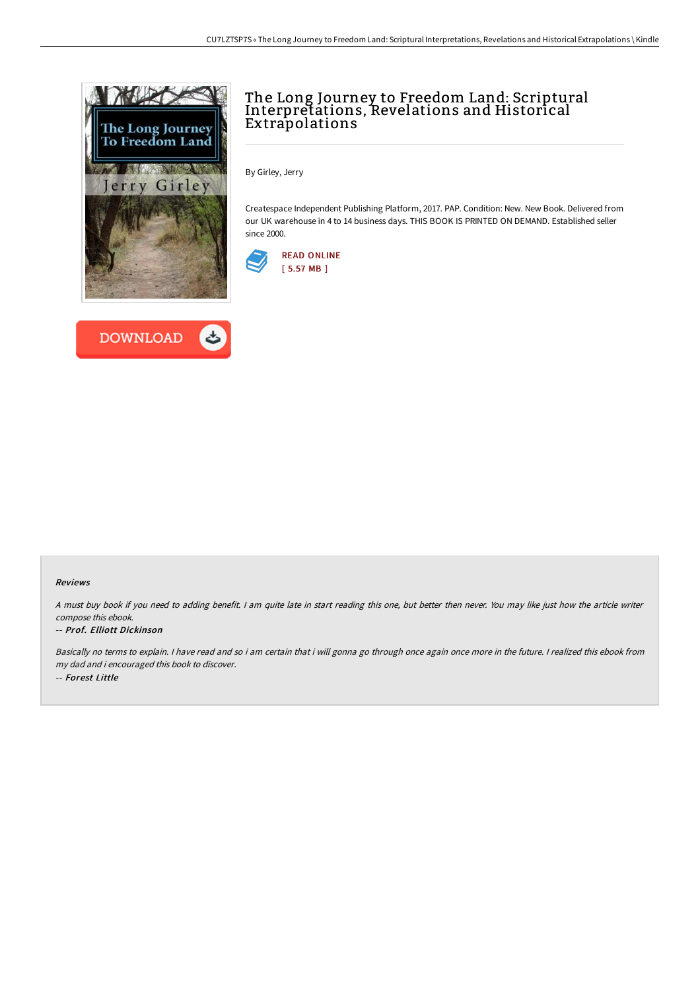

**DOWNLOAD** 



By Girley, Jerry

Createspace Independent Publishing Platform, 2017. PAP. Condition: New. New Book. Delivered from our UK warehouse in 4 to 14 business days. THIS BOOK IS PRINTED ON DEMAND. Established seller since 2000.



## Reviews

<sup>A</sup> must buy book if you need to adding benefit. <sup>I</sup> am quite late in start reading this one, but better then never. You may like just how the article writer compose this ebook.

## -- Prof. Elliott Dickinson

Basically no terms to explain. <sup>I</sup> have read and so i am certain that i will gonna go through once again once more in the future. <sup>I</sup> realized this ebook from my dad and i encouraged this book to discover. -- Forest Little